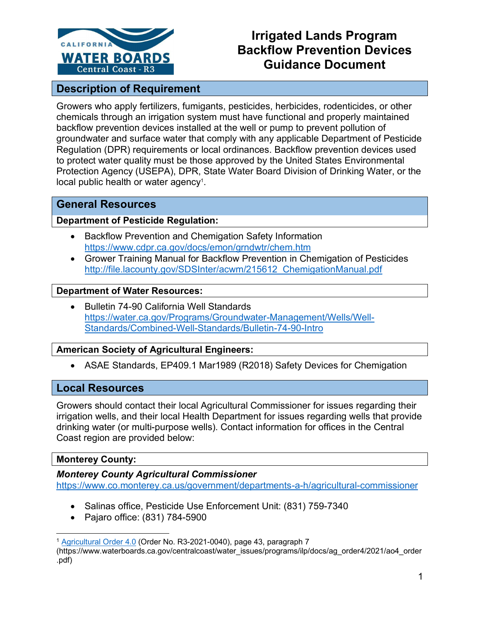

# **Irrigated Lands Program Backflow Prevention Devices Guidance Document**

# **Description of Requirement**

Growers who apply fertilizers, fumigants, pesticides, herbicides, rodenticides, or other chemicals through an irrigation system must have functional and properly maintained backflow prevention devices installed at the well or pump to prevent pollution of groundwater and surface water that comply with any applicable Department of Pesticide Regulation (DPR) requirements or local ordinances. Backflow prevention devices used to protect water quality must be those approved by the United States Environmental Protection Agency (USEPA), DPR, State Water Board Division of Drinking Water, or the local public health or water agency<sup>[1](#page-0-0)</sup>.

# **General Resources**

#### **Department of Pesticide Regulation:**

- · Backflow Prevention and Chemigation Safety Information <https://www.cdpr.ca.gov/docs/emon/grndwtr/chem.htm>
- · Grower Training Manual for Backflow Prevention in Chemigation of Pesticides [http://file.lacounty.gov/SDSInter/acwm/215612\\_ChemigationManual.pdf](http://file.lacounty.gov/SDSInter/acwm/215612_ChemigationManual.pdf)

#### **Department of Water Resources:**

Bulletin 74-90 California Well Standards [https://water.ca.gov/Programs/Groundwater-Management/Wells/Well-](https://water.ca.gov/Programs/Groundwater-Management/Wells/Well-Standards/Combined-Well-Standards/Bulletin-74-90-Intro)[Standards/Combined-Well-Standards/Bulletin-74-90-Intro](https://water.ca.gov/Programs/Groundwater-Management/Wells/Well-Standards/Combined-Well-Standards/Bulletin-74-90-Intro)

# **American Society of Agricultural Engineers:**

• ASAE Standards, EP409.1 Mar1989 (R2018) Safety Devices for Chemigation

# **Local Resources**

Growers should contact their local Agricultural Commissioner for issues regarding their irrigation wells, and their local Health Department for issues regarding wells that provide drinking water (or multi-purpose wells). Contact information for offices in the Central Coast region are provided below:

# **Monterey County:**

#### *Monterey County Agricultural Commissioner*

<https://www.co.monterey.ca.us/government/departments-a-h/agricultural-commissioner>

- · Salinas office, Pesticide Use Enforcement Unit: (831) 759-7340
- · Pajaro office: (831) 784-5900

<span id="page-0-0"></span><sup>1</sup> [Agricultural Order 4.0](https://www.waterboards.ca.gov/centralcoast/water_issues/programs/ilp/docs/ag_order4/2021/ao4_order.pdf) (Order No. R3-2021-0040), page 43, paragraph 7

<sup>(</sup>https://www.waterboards.ca.gov/centralcoast/water\_issues/programs/ilp/docs/ag\_order4/2021/ao4\_order .pdf)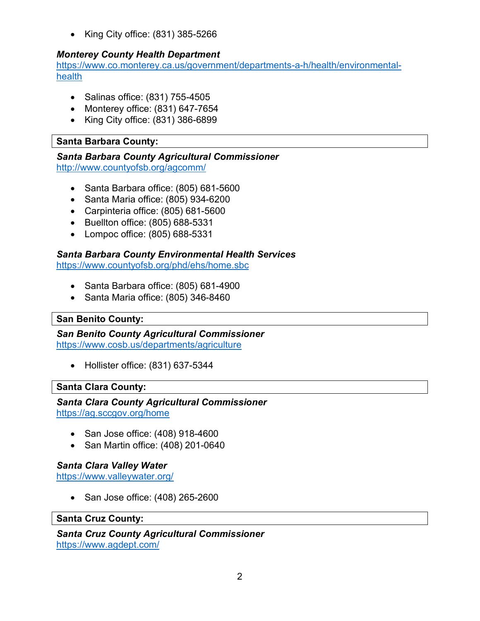· King City office: (831) 385-5266

# *Monterey County Health Department*

[https://www.co.monterey.ca.us/government/departments-a-h/health/environmental](https://www.co.monterey.ca.us/government/departments-a-h/health/environmental-health)[health](https://www.co.monterey.ca.us/government/departments-a-h/health/environmental-health)

- · Salinas office: (831) 755-4505
- · Monterey office: (831) 647-7654
- · King City office: (831) 386-6899

# **Santa Barbara County:**

#### *Santa Barbara County Agricultural Commissioner* <http://www.countyofsb.org/agcomm/>

- · Santa Barbara office: (805) 681-5600
- · Santa Maria office: (805) 934-6200
- · Carpinteria office: (805) 681-5600
- · Buellton office: (805) 688-5331
- · Lompoc office: (805) 688-5331

# *Santa Barbara County Environmental Health Services*

<https://www.countyofsb.org/phd/ehs/home.sbc>

- · Santa Barbara office: (805) 681-4900
- · Santa Maria office: (805) 346-8460

# **San Benito County:**

*San Benito County Agricultural Commissioner* <https://www.cosb.us/departments/agriculture>

· Hollister office: (831) 637-5344

# **Santa Clara County:**

#### *Santa Clara County Agricultural Commissioner* <https://ag.sccgov.org/home>

- · San Jose office: (408) 918-4600
- · San Martin office: (408) 201-0640

# *Santa Clara Valley Water*

<https://www.valleywater.org/>

· San Jose office: (408) 265-2600

#### **Santa Cruz County:**

*Santa Cruz County Agricultural Commissioner* <https://www.agdept.com/>